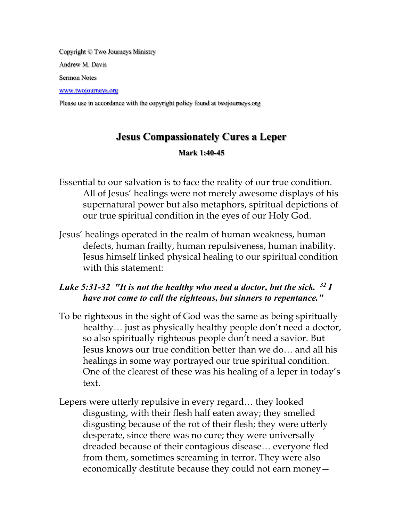Copyright © Two Journeys Ministry Andrew M. Davis

Sermon Notes

www.twojourneys.org

Please use in accordance with the copyright policy found at twojourneys.org

# **Jesus Compassionately Cures a Leper**

#### **Mark 1:40-45**

- Essential to our salvation is to face the reality of our true condition. All of Jesus' healings were not merely awesome displays of his supernatural power but also metaphors, spiritual depictions of our true spiritual condition in the eyes of our Holy God.
- Jesus' healings operated in the realm of human weakness, human defects, human frailty, human repulsiveness, human inability. Jesus himself linked physical healing to our spiritual condition with this statement:

# *Luke 5:31-32 "It is not the healthy who need a doctor, but the sick. 32 I have not come to call the righteous, but sinners to repentance."*

- To be righteous in the sight of God was the same as being spiritually healthy... just as physically healthy people don't need a doctor, so also spiritually righteous people don't need a savior. But Jesus knows our true condition better than we do… and all his healings in some way portrayed our true spiritual condition. One of the clearest of these was his healing of a leper in today's text.
- Lepers were utterly repulsive in every regard… they looked disgusting, with their flesh half eaten away; they smelled disgusting because of the rot of their flesh; they were utterly desperate, since there was no cure; they were universally dreaded because of their contagious disease… everyone fled from them, sometimes screaming in terror. They were also economically destitute because they could not earn money—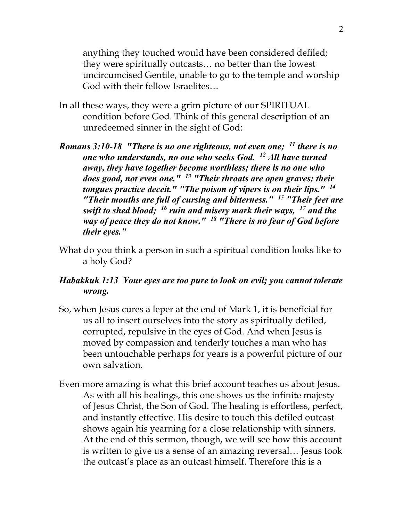anything they touched would have been considered defiled; they were spiritually outcasts… no better than the lowest uncircumcised Gentile, unable to go to the temple and worship God with their fellow Israelites…

- In all these ways, they were a grim picture of our SPIRITUAL condition before God. Think of this general description of an unredeemed sinner in the sight of God:
- *Romans 3:10-18 "There is no one righteous, not even one; 11 there is no one who understands, no one who seeks God. 12 All have turned away, they have together become worthless; there is no one who does good, not even one." 13 "Their throats are open graves; their tongues practice deceit." "The poison of vipers is on their lips." 14 "Their mouths are full of cursing and bitterness." 15 "Their feet are swift to shed blood; 16 ruin and misery mark their ways, 17 and the way of peace they do not know." 18 "There is no fear of God before their eyes."*
- What do you think a person in such a spiritual condition looks like to a holy God?

# *Habakkuk 1:13 Your eyes are too pure to look on evil; you cannot tolerate wrong.*

- So, when Jesus cures a leper at the end of Mark 1, it is beneficial for us all to insert ourselves into the story as spiritually defiled, corrupted, repulsive in the eyes of God. And when Jesus is moved by compassion and tenderly touches a man who has been untouchable perhaps for years is a powerful picture of our own salvation.
- Even more amazing is what this brief account teaches us about Jesus. As with all his healings, this one shows us the infinite majesty of Jesus Christ, the Son of God. The healing is effortless, perfect, and instantly effective. His desire to touch this defiled outcast shows again his yearning for a close relationship with sinners. At the end of this sermon, though, we will see how this account is written to give us a sense of an amazing reversal… Jesus took the outcast's place as an outcast himself. Therefore this is a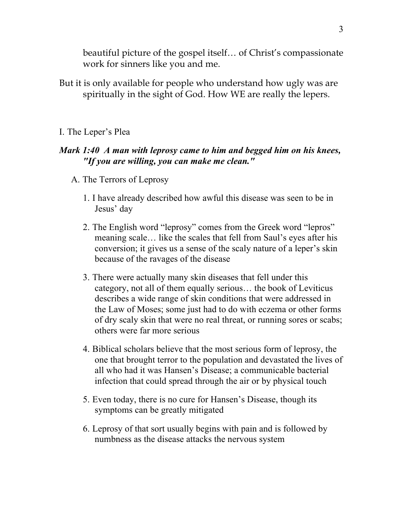beautiful picture of the gospel itself… of Christ's compassionate work for sinners like you and me.

But it is only available for people who understand how ugly was are spiritually in the sight of God. How WE are really the lepers.

#### I. The Leper's Plea

#### *Mark 1:40 A man with leprosy came to him and begged him on his knees, "If you are willing, you can make me clean."*

- A. The Terrors of Leprosy
	- 1. I have already described how awful this disease was seen to be in Jesus' day
	- 2. The English word "leprosy" comes from the Greek word "lepros" meaning scale… like the scales that fell from Saul's eyes after his conversion; it gives us a sense of the scaly nature of a leper's skin because of the ravages of the disease
	- 3. There were actually many skin diseases that fell under this category, not all of them equally serious… the book of Leviticus describes a wide range of skin conditions that were addressed in the Law of Moses; some just had to do with eczema or other forms of dry scaly skin that were no real threat, or running sores or scabs; others were far more serious
	- 4. Biblical scholars believe that the most serious form of leprosy, the one that brought terror to the population and devastated the lives of all who had it was Hansen's Disease; a communicable bacterial infection that could spread through the air or by physical touch
	- 5. Even today, there is no cure for Hansen's Disease, though its symptoms can be greatly mitigated
	- 6. Leprosy of that sort usually begins with pain and is followed by numbness as the disease attacks the nervous system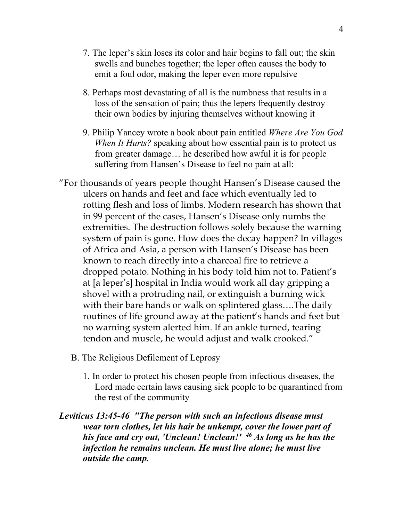- 7. The leper's skin loses its color and hair begins to fall out; the skin swells and bunches together; the leper often causes the body to emit a foul odor, making the leper even more repulsive
- 8. Perhaps most devastating of all is the numbness that results in a loss of the sensation of pain; thus the lepers frequently destroy their own bodies by injuring themselves without knowing it
- 9. Philip Yancey wrote a book about pain entitled *Where Are You God When It Hurts?* speaking about how essential pain is to protect us from greater damage… he described how awful it is for people suffering from Hansen's Disease to feel no pain at all:
- "For thousands of years people thought Hansen's Disease caused the ulcers on hands and feet and face which eventually led to rotting flesh and loss of limbs. Modern research has shown that in 99 percent of the cases, Hansen's Disease only numbs the extremities. The destruction follows solely because the warning system of pain is gone. How does the decay happen? In villages of Africa and Asia, a person with Hansen's Disease has been known to reach directly into a charcoal fire to retrieve a dropped potato. Nothing in his body told him not to. Patient's at [a leper's] hospital in India would work all day gripping a shovel with a protruding nail, or extinguish a burning wick with their bare hands or walk on splintered glass….The daily routines of life ground away at the patient's hands and feet but no warning system alerted him. If an ankle turned, tearing tendon and muscle, he would adjust and walk crooked."
	- B. The Religious Defilement of Leprosy
		- 1. In order to protect his chosen people from infectious diseases, the Lord made certain laws causing sick people to be quarantined from the rest of the community
- *Leviticus 13:45-46 "The person with such an infectious disease must wear torn clothes, let his hair be unkempt, cover the lower part of his face and cry out, 'Unclean! Unclean!' 46 As long as he has the infection he remains unclean. He must live alone; he must live outside the camp.*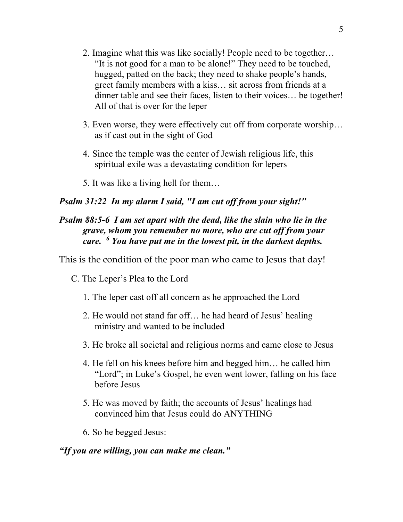- 2. Imagine what this was like socially! People need to be together… "It is not good for a man to be alone!" They need to be touched, hugged, patted on the back; they need to shake people's hands, greet family members with a kiss… sit across from friends at a dinner table and see their faces, listen to their voices… be together! All of that is over for the leper
- 3. Even worse, they were effectively cut off from corporate worship… as if cast out in the sight of God
- 4. Since the temple was the center of Jewish religious life, this spiritual exile was a devastating condition for lepers
- 5. It was like a living hell for them…

### *Psalm 31:22 In my alarm I said, "I am cut off from your sight!"*

### *Psalm 88:5-6 I am set apart with the dead, like the slain who lie in the grave, whom you remember no more, who are cut off from your care. 6 You have put me in the lowest pit, in the darkest depths.*

This is the condition of the poor man who came to Jesus that day!

- C. The Leper's Plea to the Lord
	- 1. The leper cast off all concern as he approached the Lord
	- 2. He would not stand far off… he had heard of Jesus' healing ministry and wanted to be included
	- 3. He broke all societal and religious norms and came close to Jesus
	- 4. He fell on his knees before him and begged him… he called him "Lord"; in Luke's Gospel, he even went lower, falling on his face before Jesus
	- 5. He was moved by faith; the accounts of Jesus' healings had convinced him that Jesus could do ANYTHING
	- 6. So he begged Jesus:

### *"If you are willing, you can make me clean."*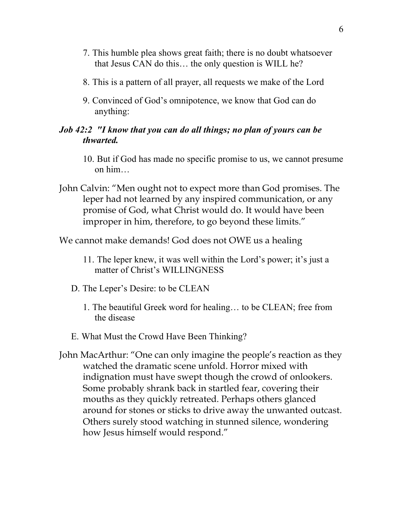- 7. This humble plea shows great faith; there is no doubt whatsoever that Jesus CAN do this… the only question is WILL he?
- 8. This is a pattern of all prayer, all requests we make of the Lord
- 9. Convinced of God's omnipotence, we know that God can do anything:

#### *Job 42:2 "I know that you can do all things; no plan of yours can be thwarted.*

- 10. But if God has made no specific promise to us, we cannot presume on him…
- John Calvin: "Men ought not to expect more than God promises. The leper had not learned by any inspired communication, or any promise of God, what Christ would do. It would have been improper in him, therefore, to go beyond these limits."

We cannot make demands! God does not OWE us a healing

- 11. The leper knew, it was well within the Lord's power; it's just a matter of Christ's WILLINGNESS
- D. The Leper's Desire: to be CLEAN
	- 1. The beautiful Greek word for healing… to be CLEAN; free from the disease
- E. What Must the Crowd Have Been Thinking?
- John MacArthur: "One can only imagine the people's reaction as they watched the dramatic scene unfold. Horror mixed with indignation must have swept though the crowd of onlookers. Some probably shrank back in startled fear, covering their mouths as they quickly retreated. Perhaps others glanced around for stones or sticks to drive away the unwanted outcast. Others surely stood watching in stunned silence, wondering how Jesus himself would respond."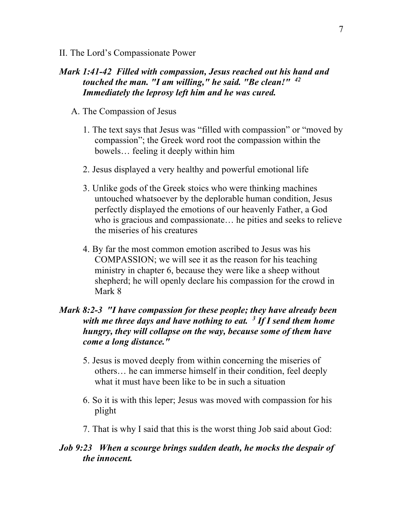II. The Lord's Compassionate Power

### *Mark 1:41-42 Filled with compassion, Jesus reached out his hand and touched the man. "I am willing," he said. "Be clean!" 42 Immediately the leprosy left him and he was cured.*

- A. The Compassion of Jesus
	- 1. The text says that Jesus was "filled with compassion" or "moved by compassion"; the Greek word root the compassion within the bowels… feeling it deeply within him
	- 2. Jesus displayed a very healthy and powerful emotional life
	- 3. Unlike gods of the Greek stoics who were thinking machines untouched whatsoever by the deplorable human condition, Jesus perfectly displayed the emotions of our heavenly Father, a God who is gracious and compassionate… he pities and seeks to relieve the miseries of his creatures
	- 4. By far the most common emotion ascribed to Jesus was his COMPASSION; we will see it as the reason for his teaching ministry in chapter 6, because they were like a sheep without shepherd; he will openly declare his compassion for the crowd in Mark 8

### *Mark 8:2-3 "I have compassion for these people; they have already been with me three days and have nothing to eat. 3 If I send them home hungry, they will collapse on the way, because some of them have come a long distance."*

- 5. Jesus is moved deeply from within concerning the miseries of others… he can immerse himself in their condition, feel deeply what it must have been like to be in such a situation
- 6. So it is with this leper; Jesus was moved with compassion for his plight
- 7. That is why I said that this is the worst thing Job said about God:

#### *Job 9:23 When a scourge brings sudden death, he mocks the despair of the innocent.*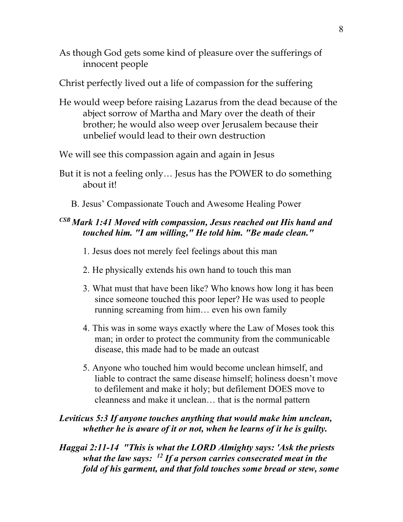As though God gets some kind of pleasure over the sufferings of innocent people

Christ perfectly lived out a life of compassion for the suffering

He would weep before raising Lazarus from the dead because of the abject sorrow of Martha and Mary over the death of their brother; he would also weep over Jerusalem because their unbelief would lead to their own destruction

We will see this compassion again and again in Jesus

- But it is not a feeling only… Jesus has the POWER to do something about it!
	- B. Jesus' Compassionate Touch and Awesome Healing Power

# *CSB Mark 1:41 Moved with compassion, Jesus reached out His hand and touched him. "I am willing," He told him. "Be made clean."*

1. Jesus does not merely feel feelings about this man

- 2. He physically extends his own hand to touch this man
- 3. What must that have been like? Who knows how long it has been since someone touched this poor leper? He was used to people running screaming from him… even his own family
- 4. This was in some ways exactly where the Law of Moses took this man; in order to protect the community from the communicable disease, this made had to be made an outcast
- 5. Anyone who touched him would become unclean himself, and liable to contract the same disease himself; holiness doesn't move to defilement and make it holy; but defilement DOES move to cleanness and make it unclean… that is the normal pattern

# *Leviticus 5:3 If anyone touches anything that would make him unclean, whether he is aware of it or not, when he learns of it he is guilty.*

*Haggai 2:11-14 "This is what the LORD Almighty says: 'Ask the priests what the law says: 12 If a person carries consecrated meat in the fold of his garment, and that fold touches some bread or stew, some*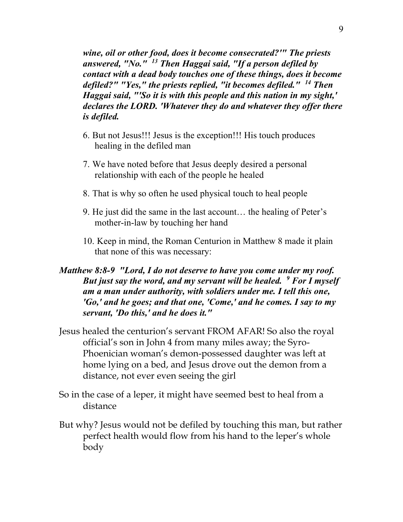*wine, oil or other food, does it become consecrated?'" The priests answered, "No." 13 Then Haggai said, "If a person defiled by contact with a dead body touches one of these things, does it become defiled?" "Yes," the priests replied, "it becomes defiled." 14 Then Haggai said, "'So it is with this people and this nation in my sight,' declares the LORD. 'Whatever they do and whatever they offer there is defiled.*

- 6. But not Jesus!!! Jesus is the exception!!! His touch produces healing in the defiled man
- 7. We have noted before that Jesus deeply desired a personal relationship with each of the people he healed
- 8. That is why so often he used physical touch to heal people
- 9. He just did the same in the last account… the healing of Peter's mother-in-law by touching her hand
- 10. Keep in mind, the Roman Centurion in Matthew 8 made it plain that none of this was necessary:

### *Matthew 8:8-9 "Lord, I do not deserve to have you come under my roof. But just say the word, and my servant will be healed. 9 For I myself am a man under authority, with soldiers under me. I tell this one, 'Go,' and he goes; and that one, 'Come,' and he comes. I say to my servant, 'Do this,' and he does it."*

- Jesus healed the centurion's servant FROM AFAR! So also the royal official's son in John 4 from many miles away; the Syro-Phoenician woman's demon-possessed daughter was left at home lying on a bed, and Jesus drove out the demon from a distance, not ever even seeing the girl
- So in the case of a leper, it might have seemed best to heal from a distance
- But why? Jesus would not be defiled by touching this man, but rather perfect health would flow from his hand to the leper's whole body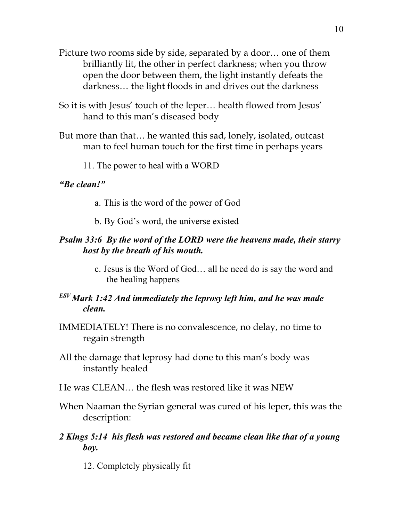- Picture two rooms side by side, separated by a door… one of them brilliantly lit, the other in perfect darkness; when you throw open the door between them, the light instantly defeats the darkness… the light floods in and drives out the darkness
- So it is with Jesus' touch of the leper… health flowed from Jesus' hand to this man's diseased body
- But more than that… he wanted this sad, lonely, isolated, outcast man to feel human touch for the first time in perhaps years

11. The power to heal with a WORD

#### *"Be clean!"*

- a. This is the word of the power of God
- b. By God's word, the universe existed

### *Psalm 33:6 By the word of the LORD were the heavens made, their starry host by the breath of his mouth.*

c. Jesus is the Word of God… all he need do is say the word and the healing happens

# *ESV Mark 1:42 And immediately the leprosy left him, and he was made clean.*

- IMMEDIATELY! There is no convalescence, no delay, no time to regain strength
- All the damage that leprosy had done to this man's body was instantly healed
- He was CLEAN… the flesh was restored like it was NEW
- When Naaman the Syrian general was cured of his leper, this was the description:
- *2 Kings 5:14 his flesh was restored and became clean like that of a young boy.*
	- 12. Completely physically fit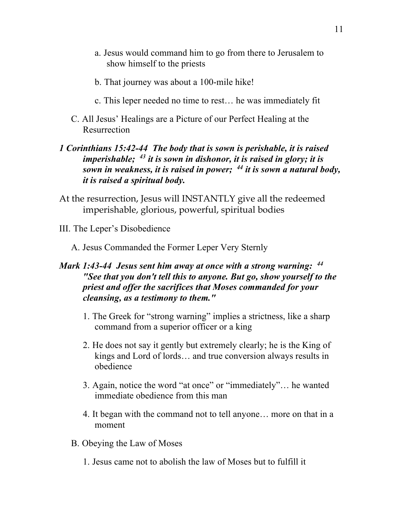- a. Jesus would command him to go from there to Jerusalem to show himself to the priests
- b. That journey was about a 100-mile hike!
- c. This leper needed no time to rest… he was immediately fit
- C. All Jesus' Healings are a Picture of our Perfect Healing at the Resurrection

### *1 Corinthians 15:42-44 The body that is sown is perishable, it is raised imperishable; 43 it is sown in dishonor, it is raised in glory; it is sown in weakness, it is raised in power; 44 it is sown a natural body, it is raised a spiritual body.*

- At the resurrection, Jesus will INSTANTLY give all the redeemed imperishable, glorious, powerful, spiritual bodies
- III. The Leper's Disobedience
	- A. Jesus Commanded the Former Leper Very Sternly

### *Mark 1:43-44 Jesus sent him away at once with a strong warning: 44 "See that you don't tell this to anyone. But go, show yourself to the priest and offer the sacrifices that Moses commanded for your cleansing, as a testimony to them."*

- 1. The Greek for "strong warning" implies a strictness, like a sharp command from a superior officer or a king
- 2. He does not say it gently but extremely clearly; he is the King of kings and Lord of lords… and true conversion always results in obedience
- 3. Again, notice the word "at once" or "immediately"… he wanted immediate obedience from this man
- 4. It began with the command not to tell anyone… more on that in a moment
- B. Obeying the Law of Moses
	- 1. Jesus came not to abolish the law of Moses but to fulfill it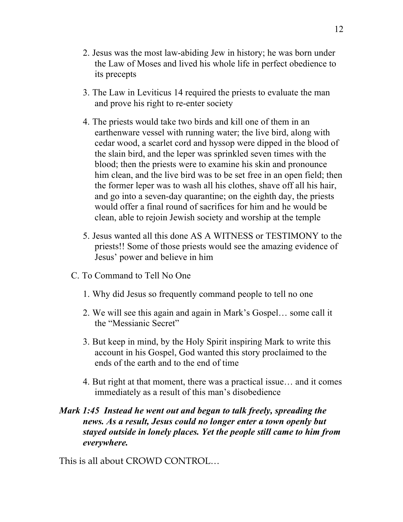- 2. Jesus was the most law-abiding Jew in history; he was born under the Law of Moses and lived his whole life in perfect obedience to its precepts
- 3. The Law in Leviticus 14 required the priests to evaluate the man and prove his right to re-enter society
- 4. The priests would take two birds and kill one of them in an earthenware vessel with running water; the live bird, along with cedar wood, a scarlet cord and hyssop were dipped in the blood of the slain bird, and the leper was sprinkled seven times with the blood; then the priests were to examine his skin and pronounce him clean, and the live bird was to be set free in an open field; then the former leper was to wash all his clothes, shave off all his hair, and go into a seven-day quarantine; on the eighth day, the priests would offer a final round of sacrifices for him and he would be clean, able to rejoin Jewish society and worship at the temple
- 5. Jesus wanted all this done AS A WITNESS or TESTIMONY to the priests!! Some of those priests would see the amazing evidence of Jesus' power and believe in him
- C. To Command to Tell No One
	- 1. Why did Jesus so frequently command people to tell no one
	- 2. We will see this again and again in Mark's Gospel… some call it the "Messianic Secret"
	- 3. But keep in mind, by the Holy Spirit inspiring Mark to write this account in his Gospel, God wanted this story proclaimed to the ends of the earth and to the end of time
	- 4. But right at that moment, there was a practical issue… and it comes immediately as a result of this man's disobedience

# *Mark 1:45 Instead he went out and began to talk freely, spreading the news. As a result, Jesus could no longer enter a town openly but stayed outside in lonely places. Yet the people still came to him from everywhere.*

This is all about CROWD CONTROL…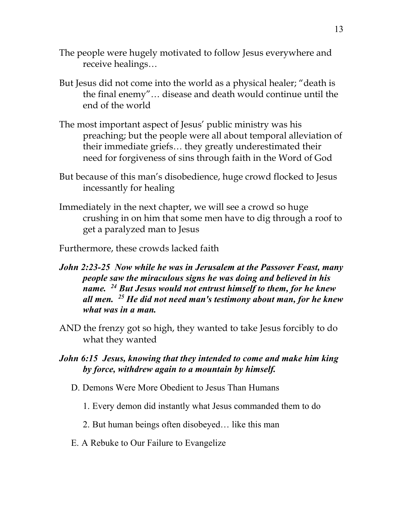- The people were hugely motivated to follow Jesus everywhere and receive healings…
- But Jesus did not come into the world as a physical healer; "death is the final enemy"… disease and death would continue until the end of the world
- The most important aspect of Jesus' public ministry was his preaching; but the people were all about temporal alleviation of their immediate griefs… they greatly underestimated their need for forgiveness of sins through faith in the Word of God
- But because of this man's disobedience, huge crowd flocked to Jesus incessantly for healing
- Immediately in the next chapter, we will see a crowd so huge crushing in on him that some men have to dig through a roof to get a paralyzed man to Jesus
- Furthermore, these crowds lacked faith
- *John 2:23-25 Now while he was in Jerusalem at the Passover Feast, many people saw the miraculous signs he was doing and believed in his name. 24 But Jesus would not entrust himself to them, for he knew all men. 25 He did not need man's testimony about man, for he knew what was in a man.*
- AND the frenzy got so high, they wanted to take Jesus forcibly to do what they wanted
- *John 6:15 Jesus, knowing that they intended to come and make him king by force, withdrew again to a mountain by himself.*
	- D. Demons Were More Obedient to Jesus Than Humans
		- 1. Every demon did instantly what Jesus commanded them to do
		- 2. But human beings often disobeyed… like this man
	- E. A Rebuke to Our Failure to Evangelize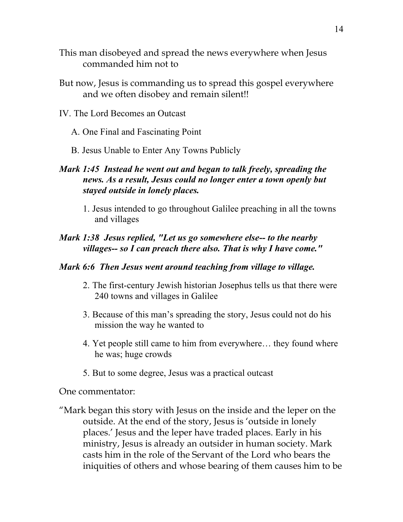- This man disobeyed and spread the news everywhere when Jesus commanded him not to
- But now, Jesus is commanding us to spread this gospel everywhere and we often disobey and remain silent!!
- IV. The Lord Becomes an Outcast
	- A. One Final and Fascinating Point
	- B. Jesus Unable to Enter Any Towns Publicly

# *Mark 1:45 Instead he went out and began to talk freely, spreading the news. As a result, Jesus could no longer enter a town openly but stayed outside in lonely places.*

1. Jesus intended to go throughout Galilee preaching in all the towns and villages

### *Mark 1:38 Jesus replied, "Let us go somewhere else-- to the nearby villages-- so I can preach there also. That is why I have come."*

#### *Mark 6:6 Then Jesus went around teaching from village to village.*

- 2. The first-century Jewish historian Josephus tells us that there were 240 towns and villages in Galilee
- 3. Because of this man's spreading the story, Jesus could not do his mission the way he wanted to
- 4. Yet people still came to him from everywhere… they found where he was; huge crowds
- 5. But to some degree, Jesus was a practical outcast

One commentator:

"Mark began this story with Jesus on the inside and the leper on the outside. At the end of the story, Jesus is 'outside in lonely places.' Jesus and the leper have traded places. Early in his ministry, Jesus is already an outsider in human society. Mark casts him in the role of the Servant of the Lord who bears the iniquities of others and whose bearing of them causes him to be